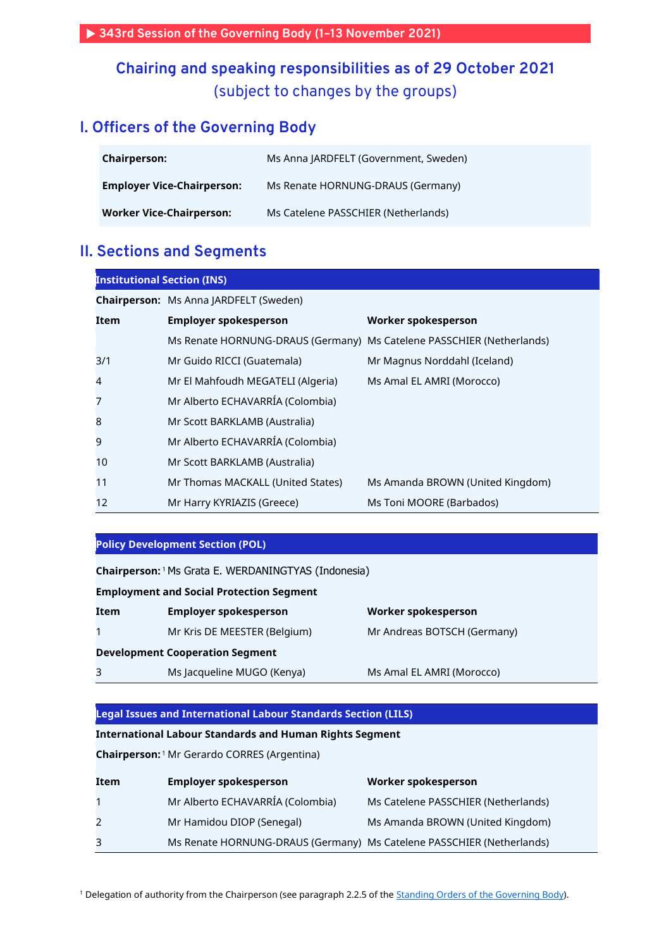**343rd Session of the Governing Body (1–13 November 2021)**

## **Chairing and speaking responsibilities as of 29 October 2021** (subject to changes by the groups)

## **I. Officers of the Governing Body**

| <b>Chairperson:</b>               | Ms Anna JARDFELT (Government, Sweden) |  |
|-----------------------------------|---------------------------------------|--|
| <b>Employer Vice-Chairperson:</b> | Ms Renate HORNUNG-DRAUS (Germany)     |  |
| Worker Vice-Chairperson:          | Ms Catelene PASSCHIER (Netherlands)   |  |

### **II. Sections and Segments**

| <b>Institutional Section (INS)</b> |                                                                       |                                  |  |
|------------------------------------|-----------------------------------------------------------------------|----------------------------------|--|
|                                    | <b>Chairperson:</b> Ms Anna JARDFELT (Sweden)                         |                                  |  |
| Item                               | <b>Employer spokesperson</b>                                          | Worker spokesperson              |  |
|                                    | Ms Renate HORNUNG-DRAUS (Germany) Ms Catelene PASSCHIER (Netherlands) |                                  |  |
| 3/1                                | Mr Guido RICCI (Guatemala)                                            | Mr Magnus Norddahl (Iceland)     |  |
| $\overline{4}$                     | Mr El Mahfoudh MEGATELI (Algeria)                                     | Ms Amal EL AMRI (Morocco)        |  |
| 7                                  | Mr Alberto ECHAVARRÍA (Colombia)                                      |                                  |  |
| 8                                  | Mr Scott BARKLAMB (Australia)                                         |                                  |  |
| 9                                  | Mr Alberto ECHAVARRÍA (Colombia)                                      |                                  |  |
| 10                                 | Mr Scott BARKLAMB (Australia)                                         |                                  |  |
| 11                                 | Mr Thomas MACKALL (United States)                                     | Ms Amanda BROWN (United Kingdom) |  |
| 12                                 | Mr Harry KYRIAZIS (Greece)                                            | Ms Toni MOORE (Barbados)         |  |

### **Policy Development Section (POL)**

| Chairperson: <sup>1</sup> Ms Grata E. WERDANINGTYAS (Indonesia) |                                        |                             |  |
|-----------------------------------------------------------------|----------------------------------------|-----------------------------|--|
|                                                                 |                                        |                             |  |
| <b>Employment and Social Protection Segment</b>                 |                                        |                             |  |
| Item                                                            | <b>Employer spokesperson</b>           | Worker spokesperson         |  |
|                                                                 | Mr Kris DE MEESTER (Belgium)           | Mr Andreas BOTSCH (Germany) |  |
|                                                                 | <b>Development Cooperation Segment</b> |                             |  |
| 3                                                               | Ms Jacqueline MUGO (Kenya)             | Ms Amal EL AMRI (Morocco)   |  |

#### **Legal Issues and International Labour Standards Section (LILS)**

### **International Labour Standards and Human Rights Segment**

**Chairperson:** <sup>1</sup> Mr Gerardo CORRES (Argentina)

| Item        | <b>Employer spokesperson</b>                                          | Worker spokesperson                 |
|-------------|-----------------------------------------------------------------------|-------------------------------------|
| $\mathbf 1$ | Mr Alberto ECHAVARRÍA (Colombia)                                      | Ms Catelene PASSCHIER (Netherlands) |
| 2           | Mr Hamidou DIOP (Senegal)                                             | Ms Amanda BROWN (United Kingdom)    |
| 3           | Ms Renate HORNUNG-DRAUS (Germany) Ms Catelene PASSCHIER (Netherlands) |                                     |

<sup>1</sup> Delegation of authority from the Chairperson (see paragraph 2.2.5 of the **Standing Orders of the Governing Body**).